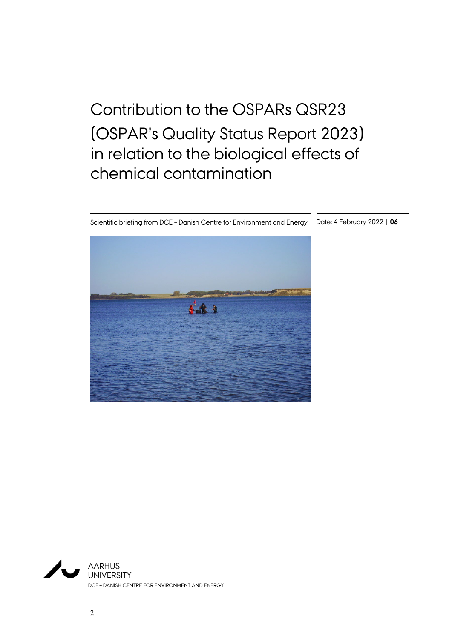# Contribution to the OSPARs QSR23 (OSPAR's Quality Status Report 2023) in relation to the biological effects of chemical contamination

Scientific briefing from DCE – Danish Centre for Environment and Energy Date: 4 February 2022 | **06**



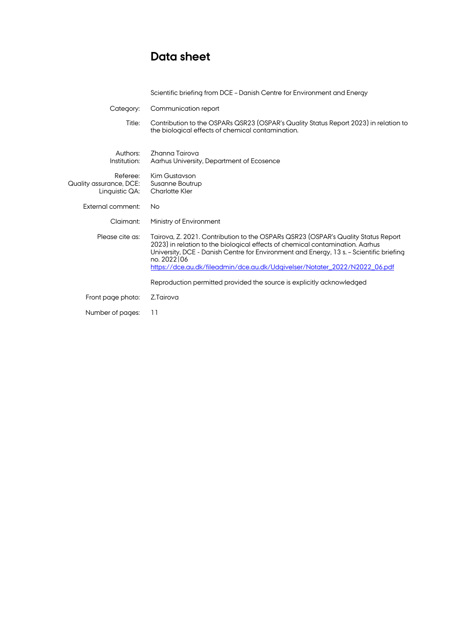## **Data sheet**

|                                                       | Scientific briefing from DCE - Danish Centre for Environment and Energy                                                                                                                                                                                                                                                                                    |
|-------------------------------------------------------|------------------------------------------------------------------------------------------------------------------------------------------------------------------------------------------------------------------------------------------------------------------------------------------------------------------------------------------------------------|
| Category:                                             | Communication report                                                                                                                                                                                                                                                                                                                                       |
| Title:                                                | Contribution to the OSPARs QSR23 (OSPAR's Quality Status Report 2023) in relation to<br>the biological effects of chemical contamination.                                                                                                                                                                                                                  |
| Authors:<br>Institution:                              | Zhanna Tairova<br>Aarhus University, Department of Ecosence                                                                                                                                                                                                                                                                                                |
| Referee:<br>Quality assurance, DCE:<br>Linguistic QA: | Kim Gustavson<br>Susanne Boutrup<br><b>Charlotte Kler</b>                                                                                                                                                                                                                                                                                                  |
| External comment:                                     | <b>No</b>                                                                                                                                                                                                                                                                                                                                                  |
| Claimant:                                             | Ministry of Environment                                                                                                                                                                                                                                                                                                                                    |
| Please cite as:                                       | Tairova, Z. 2021. Contribution to the OSPARs QSR23 (OSPAR's Quality Status Report<br>2023) in relation to the biological effects of chemical contamination. Aarhus<br>University, DCE - Danish Centre for Environment and Energy, 13 s. - Scientific briefing<br>no. 2022 06<br>https://dce.au.dk/fileadmin/dce.au.dk/Udgivelser/Notater_2022/N2022_06.pdf |
|                                                       | Reproduction permitted provided the source is explicitly acknowledged                                                                                                                                                                                                                                                                                      |
| Front page photo:                                     | Z.Tairova                                                                                                                                                                                                                                                                                                                                                  |
| Number of pages:                                      | 11                                                                                                                                                                                                                                                                                                                                                         |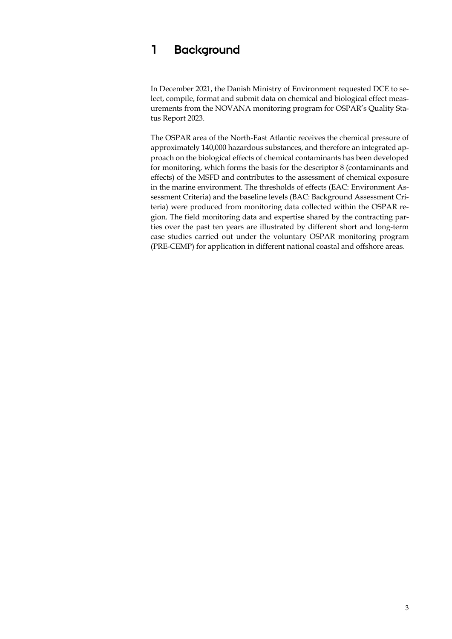#### **1 Background**

In December 2021, the Danish Ministry of Environment requested DCE to select, compile, format and submit data on chemical and biological effect measurements from the NOVANA monitoring program for OSPAR's Quality Status Report 2023.

The OSPAR area of the North-East Atlantic receives the chemical pressure of approximately 140,000 hazardous substances, and therefore an integrated approach on the biological effects of chemical contaminants has been developed for monitoring, which forms the basis for the descriptor 8 (contaminants and effects) of the MSFD and contributes to the assessment of chemical exposure in the marine environment. The thresholds of effects (EAC: Environment Assessment Criteria) and the baseline levels (BAC: Background Assessment Criteria) were produced from monitoring data collected within the OSPAR region. The field monitoring data and expertise shared by the contracting parties over the past ten years are illustrated by different short and long-term case studies carried out under the voluntary OSPAR monitoring program (PRE-CEMP) for application in different national coastal and offshore areas.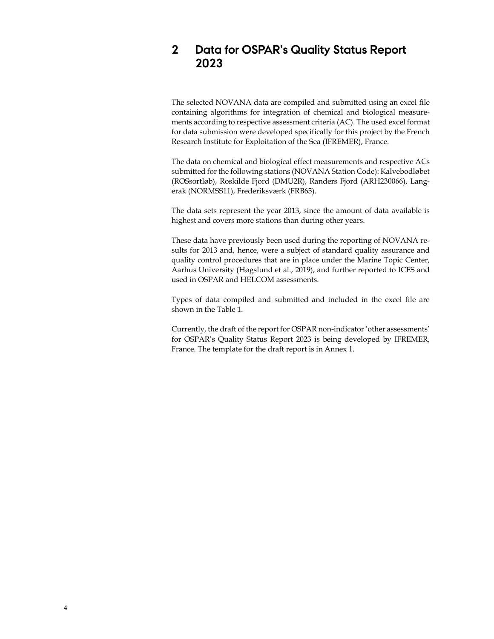#### **2 Data for OSPAR's Quality Status Report 2023**

The selected NOVANA data are compiled and submitted using an excel file containing algorithms for integration of chemical and biological measurements according to respective assessment criteria (AC). The used excel format for data submission were developed specifically for this project by the French Research Institute for Exploitation of the Sea (IFREMER), France.

The data on chemical and biological effect measurements and respective ACs submitted for the following stations (NOVANA Station Code): Kalvebodløbet (ROSsortløb), Roskilde Fjord (DMU2R), Randers Fjord (ARH230066), Langerak (NORMSS11), Frederiksværk (FRB65).

The data sets represent the year 2013, since the amount of data available is highest and covers more stations than during other years.

These data have previously been used during the reporting of NOVANA results for 2013 and, hence, were a subject of standard quality assurance and quality control procedures that are in place under the Marine Topic Center, Aarhus University (Høgslund et al., 2019), and further reported to ICES and used in OSPAR and HELCOM assessments.

Types of data compiled and submitted and included in the excel file are shown in the Table 1.

Currently, the draft of the report for OSPAR non-indicator 'other assessments' for OSPAR's Quality Status Report 2023 is being developed by IFREMER, France. The template for the draft report is in Annex 1.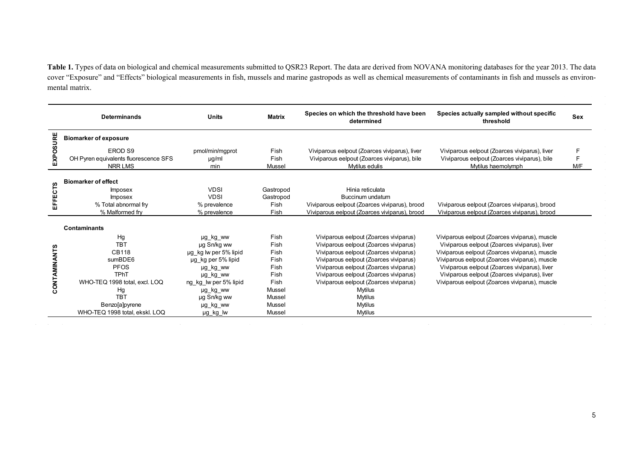**Table 1.** Types of data on biological and chemical measurements submitted to QSR23 Report. The data are derived from NOVANA monitoring databases for the year 2013. The data cover "Exposure" and "Effects" biological measurements in fish, mussels and marine gastropods as well as chemical measurements of contaminants in fish and mussels as environmental matrix.

|              | <b>Determinands</b>                                                                                                                                                                | <b>Units</b>                                                                                                                                                               | <b>Matrix</b>                                                                                | Species on which the threshold have been<br>determined                                                                                                                                                                                                                                                                                                       | Species actually sampled without specific<br>threshold                                                                                                                                                                                                                                                                                                  | <b>Sex</b>    |
|--------------|------------------------------------------------------------------------------------------------------------------------------------------------------------------------------------|----------------------------------------------------------------------------------------------------------------------------------------------------------------------------|----------------------------------------------------------------------------------------------|--------------------------------------------------------------------------------------------------------------------------------------------------------------------------------------------------------------------------------------------------------------------------------------------------------------------------------------------------------------|---------------------------------------------------------------------------------------------------------------------------------------------------------------------------------------------------------------------------------------------------------------------------------------------------------------------------------------------------------|---------------|
|              | <b>Biomarker of exposure</b>                                                                                                                                                       |                                                                                                                                                                            |                                                                                              |                                                                                                                                                                                                                                                                                                                                                              |                                                                                                                                                                                                                                                                                                                                                         |               |
| EXPOSURE     | EROD S9<br>OH Pyren equivalents fluorescence SFS<br><b>NRR LMS</b>                                                                                                                 | pmol/min/mgprot<br>$\mu$ g/ml<br>min                                                                                                                                       | Fish<br>Fish<br>Mussel                                                                       | Viviparous eelpout (Zoarces viviparus), liver<br>Viviparous eelpout (Zoarces viviparus), bile<br>Mytilus edulis                                                                                                                                                                                                                                              | Viviparous eelpout (Zoarces viviparus), liver<br>Viviparous eelpout (Zoarces viviparus), bile<br>Mytilus haemolymph                                                                                                                                                                                                                                     | F<br>F<br>M/F |
| EFFECTS      | <b>Biomarker of effect</b><br><b>Imposex</b><br><b>Imposex</b><br>% Total abnormal fry<br>% Malformed fry                                                                          | <b>VDSI</b><br><b>VDSI</b><br>% prevalence<br>% prevalence                                                                                                                 | Gastropod<br>Gastropod<br>Fish<br>Fish                                                       | Hinia reticulata<br>Buccinum undatum<br>Viviparous eelpout (Zoarces viviparus), brood<br>Viviparous eelpout (Zoarces viviparus), brood                                                                                                                                                                                                                       | Viviparous eelpout (Zoarces viviparus), brood<br>Viviparous eelpout (Zoarces viviparus), brood                                                                                                                                                                                                                                                          |               |
|              | <b>Contaminants</b>                                                                                                                                                                |                                                                                                                                                                            |                                                                                              |                                                                                                                                                                                                                                                                                                                                                              |                                                                                                                                                                                                                                                                                                                                                         |               |
| CONTAMINANTS | Hg<br><b>TBT</b><br><b>CB118</b><br>sumBDE6<br><b>PFOS</b><br><b>TPhT</b><br>WHO-TEQ 1998 total, excl. LOQ<br>Hg<br><b>TBT</b><br>Benzo[a]pyrene<br>WHO-TEQ 1998 total, ekskl. LOQ | µg kg ww<br>µg Sn/kg ww<br>µg kg lw per 5% lipid<br>µg kg per 5% lipid<br>µg kg ww<br>µg kg ww<br>ng kg lw per 5% lipid<br>µg kg ww<br>µg Sn/kg ww<br>µg_kg_ww<br>µg_kg_lw | Fish<br>Fish<br>Fish<br>Fish<br>Fish<br>Fish<br>Fish<br>Mussel<br>Mussel<br>Mussel<br>Mussel | Viviparous eelpout (Zoarces viviparus)<br>Viviparous eelpout (Zoarces viviparus)<br>Viviparous eelpout (Zoarces viviparus)<br>Viviparous eelpout (Zoarces viviparus)<br>Viviparous eelpout (Zoarces viviparus)<br>Viviparous eelpout (Zoarces viviparus)<br>Viviparous eelpout (Zoarces viviparus)<br>Mytilus<br>Mytilus<br><b>Mytilus</b><br><b>Mytilus</b> | Viviparous eelpout (Zoarces viviparus), muscle<br>Viviparous eelpout (Zoarces viviparus), liver<br>Viviparous eelpout (Zoarces viviparus), muscle<br>Viviparous eelpout (Zoarces viviparus), muscle<br>Viviparous eelpout (Zoarces viviparus), liver<br>Viviparous eelpout (Zoarces viviparus), liver<br>Viviparous eelpout (Zoarces viviparus), muscle |               |

the contract of the contract of the contract of the contract of the contract of

 $\mathcal{L}(\mathcal{A})$  and  $\mathcal{L}(\mathcal{A})$  and  $\mathcal{L}(\mathcal{A})$ 

and a strategic control of

nia.

 $\sim$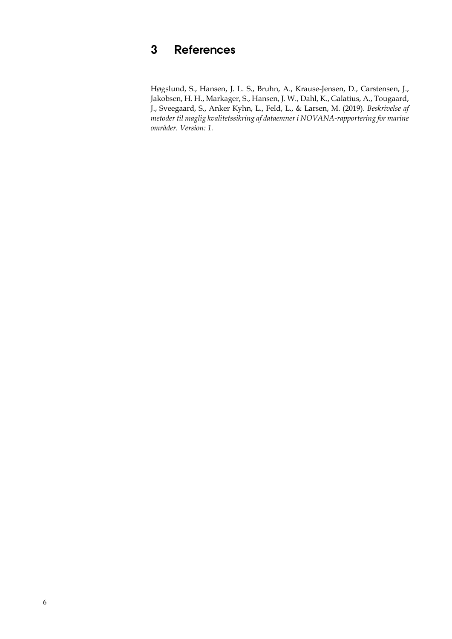## **3 References**

Høgslund, S., Hansen, J. L. S., Bruhn, A., Krause-Jensen, D., Carstensen, J., Jakobsen, H. H., Markager, S., Hansen, J. W., Dahl, K., Galatius, A., Tougaard, J., Sveegaard, S., Anker Kyhn, L., Feld, L., & Larsen, M. (2019). *Beskrivelse af metoder til maglig kvalitetssikring af dataemner i NOVANA-rapportering for marine områder. Version: 1.*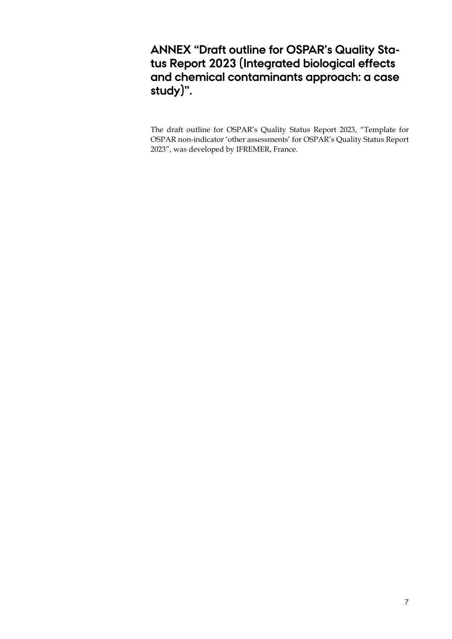#### **ANNEX "Draft outline for OSPAR's Quality Status Report 2023 (Integrated biological effects and chemical contaminants approach: a case study)".**

The draft outline for OSPAR's Quality Status Report 2023, "Template for OSPAR non-indicator 'other assessments' for OSPAR's Quality Status Report 2023", was developed by IFREMER, France.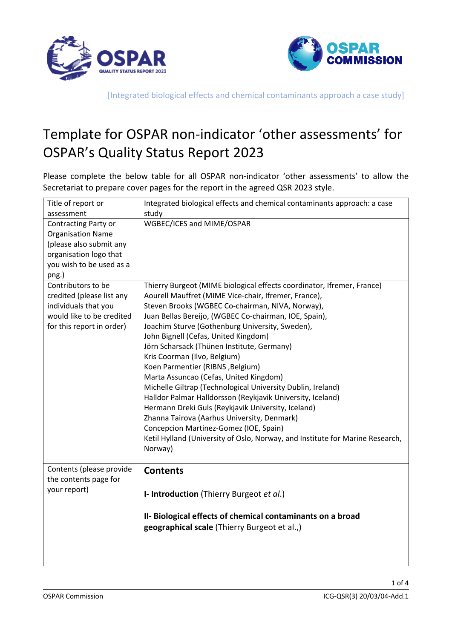



## Template for OSPAR non-indicator 'other assessments' for OSPAR's Quality Status Report 2023

Please complete the below table for all OSPAR non-indicator 'other assessments' to allow the Secretariat to prepare cover pages for the report in the agreed QSR 2023 style.

| Title of report or                                                                                                                                | Integrated biological effects and chemical contaminants approach: a case                                                                                                                                                                                                                                                                                                                                                                                                                                                                                                                                                                                                                                                                                                                                                                                                   |
|---------------------------------------------------------------------------------------------------------------------------------------------------|----------------------------------------------------------------------------------------------------------------------------------------------------------------------------------------------------------------------------------------------------------------------------------------------------------------------------------------------------------------------------------------------------------------------------------------------------------------------------------------------------------------------------------------------------------------------------------------------------------------------------------------------------------------------------------------------------------------------------------------------------------------------------------------------------------------------------------------------------------------------------|
| assessment                                                                                                                                        | study                                                                                                                                                                                                                                                                                                                                                                                                                                                                                                                                                                                                                                                                                                                                                                                                                                                                      |
| <b>Contracting Party or</b><br><b>Organisation Name</b><br>(please also submit any<br>organisation logo that<br>you wish to be used as a<br>png.) | WGBEC/ICES and MIME/OSPAR                                                                                                                                                                                                                                                                                                                                                                                                                                                                                                                                                                                                                                                                                                                                                                                                                                                  |
| Contributors to be<br>credited (please list any<br>individuals that you<br>would like to be credited<br>for this report in order)                 | Thierry Burgeot (MIME biological effects coordinator, Ifremer, France)<br>Aourell Mauffret (MIME Vice-chair, Ifremer, France),<br>Steven Brooks (WGBEC Co-chairman, NIVA, Norway),<br>Juan Bellas Bereijo, (WGBEC Co-chairman, IOE, Spain),<br>Joachim Sturve (Gothenburg University, Sweden),<br>John Bignell (Cefas, United Kingdom)<br>Jörn Scharsack (Thünen Institute, Germany)<br>Kris Coorman (Ilvo, Belgium)<br>Koen Parmentier (RIBNS, Belgium)<br>Marta Assuncao (Cefas, United Kingdom)<br>Michelle Giltrap (Technological University Dublin, Ireland)<br>Halldor Palmar Halldorsson (Reykjavik University, Iceland)<br>Hermann Dreki Guls (Reykjavik University, Iceland)<br>Zhanna Tairova (Aarhus University, Denmark)<br>Concepcion Martinez-Gomez (IOE, Spain)<br>Ketil Hylland (University of Oslo, Norway, and Institute for Marine Research,<br>Norway) |
| Contents (please provide<br>the contents page for<br>your report)                                                                                 | <b>Contents</b><br>I- Introduction (Thierry Burgeot et al.)<br>II- Biological effects of chemical contaminants on a broad<br>geographical scale (Thierry Burgeot et al.,)                                                                                                                                                                                                                                                                                                                                                                                                                                                                                                                                                                                                                                                                                                  |

1 of 4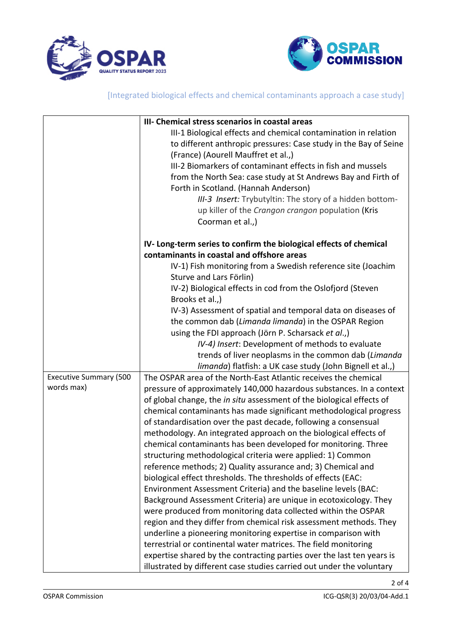



|                               | III- Chemical stress scenarios in coastal areas                        |
|-------------------------------|------------------------------------------------------------------------|
|                               | III-1 Biological effects and chemical contamination in relation        |
|                               | to different anthropic pressures: Case study in the Bay of Seine       |
|                               | (France) (Aourell Mauffret et al.,)                                    |
|                               | III-2 Biomarkers of contaminant effects in fish and mussels            |
|                               | from the North Sea: case study at St Andrews Bay and Firth of          |
|                               | Forth in Scotland. (Hannah Anderson)                                   |
|                               | III-3 Insert: Trybutyltin: The story of a hidden bottom-               |
|                               | up killer of the Crangon crangon population (Kris                      |
|                               | Coorman et al.,)                                                       |
|                               | IV-Long-term series to confirm the biological effects of chemical      |
|                               | contaminants in coastal and offshore areas                             |
|                               | IV-1) Fish monitoring from a Swedish reference site (Joachim           |
|                               | Sturve and Lars Förlin)                                                |
|                               | IV-2) Biological effects in cod from the Oslofjord (Steven             |
|                               | Brooks et al.,)                                                        |
|                               | IV-3) Assessment of spatial and temporal data on diseases of           |
|                               | the common dab (Limanda limanda) in the OSPAR Region                   |
|                               | using the FDI approach (Jörn P. Scharsack et al.,)                     |
|                               | IV-4) Insert: Development of methods to evaluate                       |
|                               | trends of liver neoplasms in the common dab (Limanda                   |
|                               | limanda) flatfish: a UK case study (John Bignell et al.,)              |
| <b>Executive Summary (500</b> | The OSPAR area of the North-East Atlantic receives the chemical        |
| words max)                    | pressure of approximately 140,000 hazardous substances. In a context   |
|                               | of global change, the in situ assessment of the biological effects of  |
|                               | chemical contaminants has made significant methodological progress     |
|                               | of standardisation over the past decade, following a consensual        |
|                               | methodology. An integrated approach on the biological effects of       |
|                               | chemical contaminants has been developed for monitoring. Three         |
|                               | structuring methodological criteria were applied: 1) Common            |
|                               | reference methods; 2) Quality assurance and; 3) Chemical and           |
|                               | biological effect thresholds. The thresholds of effects (EAC:          |
|                               | Environment Assessment Criteria) and the baseline levels (BAC:         |
|                               | Background Assessment Criteria) are unique in ecotoxicology. They      |
|                               | were produced from monitoring data collected within the OSPAR          |
|                               | region and they differ from chemical risk assessment methods. They     |
|                               | underline a pioneering monitoring expertise in comparison with         |
|                               | terrestrial or continental water matrices. The field monitoring        |
|                               | expertise shared by the contracting parties over the last ten years is |
|                               | illustrated by different case studies carried out under the voluntary  |

2 of 4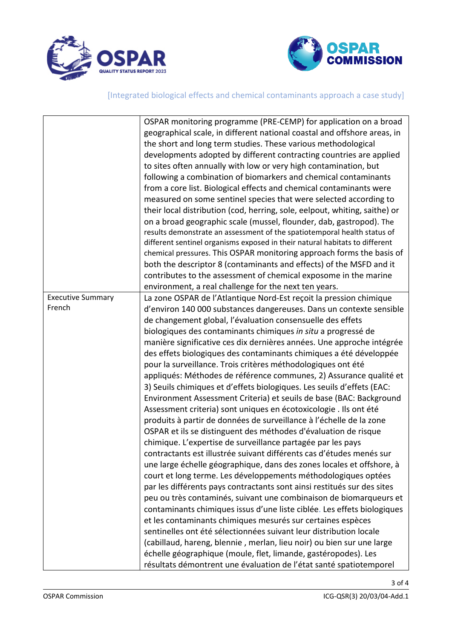



|                                    | OSPAR monitoring programme (PRE-CEMP) for application on a broad<br>geographical scale, in different national coastal and offshore areas, in<br>the short and long term studies. These various methodological<br>developments adopted by different contracting countries are applied<br>to sites often annually with low or very high contamination, but<br>following a combination of biomarkers and chemical contaminants<br>from a core list. Biological effects and chemical contaminants were<br>measured on some sentinel species that were selected according to<br>their local distribution (cod, herring, sole, eelpout, whiting, saithe) or<br>on a broad geographic scale (mussel, flounder, dab, gastropod). The<br>results demonstrate an assessment of the spatiotemporal health status of<br>different sentinel organisms exposed in their natural habitats to different<br>chemical pressures. This OSPAR monitoring approach forms the basis of<br>both the descriptor 8 (contaminants and effects) of the MSFD and it<br>contributes to the assessment of chemical exposome in the marine<br>environment, a real challenge for the next ten years. |
|------------------------------------|----------------------------------------------------------------------------------------------------------------------------------------------------------------------------------------------------------------------------------------------------------------------------------------------------------------------------------------------------------------------------------------------------------------------------------------------------------------------------------------------------------------------------------------------------------------------------------------------------------------------------------------------------------------------------------------------------------------------------------------------------------------------------------------------------------------------------------------------------------------------------------------------------------------------------------------------------------------------------------------------------------------------------------------------------------------------------------------------------------------------------------------------------------------------|
| <b>Executive Summary</b><br>French | La zone OSPAR de l'Atlantique Nord-Est reçoit la pression chimique                                                                                                                                                                                                                                                                                                                                                                                                                                                                                                                                                                                                                                                                                                                                                                                                                                                                                                                                                                                                                                                                                                   |
|                                    | d'environ 140 000 substances dangereuses. Dans un contexte sensible<br>de changement global, l'évaluation consensuelle des effets                                                                                                                                                                                                                                                                                                                                                                                                                                                                                                                                                                                                                                                                                                                                                                                                                                                                                                                                                                                                                                    |
|                                    | biologiques des contaminants chimiques in situ a progressé de                                                                                                                                                                                                                                                                                                                                                                                                                                                                                                                                                                                                                                                                                                                                                                                                                                                                                                                                                                                                                                                                                                        |
|                                    | manière significative ces dix dernières années. Une approche intégrée                                                                                                                                                                                                                                                                                                                                                                                                                                                                                                                                                                                                                                                                                                                                                                                                                                                                                                                                                                                                                                                                                                |
|                                    | des effets biologiques des contaminants chimiques a été développée                                                                                                                                                                                                                                                                                                                                                                                                                                                                                                                                                                                                                                                                                                                                                                                                                                                                                                                                                                                                                                                                                                   |
|                                    | pour la surveillance. Trois critères méthodologiques ont été                                                                                                                                                                                                                                                                                                                                                                                                                                                                                                                                                                                                                                                                                                                                                                                                                                                                                                                                                                                                                                                                                                         |
|                                    | appliqués: Méthodes de référence communes, 2) Assurance qualité et                                                                                                                                                                                                                                                                                                                                                                                                                                                                                                                                                                                                                                                                                                                                                                                                                                                                                                                                                                                                                                                                                                   |
|                                    | 3) Seuils chimiques et d'effets biologiques. Les seuils d'effets (EAC:                                                                                                                                                                                                                                                                                                                                                                                                                                                                                                                                                                                                                                                                                                                                                                                                                                                                                                                                                                                                                                                                                               |
|                                    | Environment Assessment Criteria) et seuils de base (BAC: Background                                                                                                                                                                                                                                                                                                                                                                                                                                                                                                                                                                                                                                                                                                                                                                                                                                                                                                                                                                                                                                                                                                  |
|                                    | Assessment criteria) sont uniques en écotoxicologie . Ils ont été                                                                                                                                                                                                                                                                                                                                                                                                                                                                                                                                                                                                                                                                                                                                                                                                                                                                                                                                                                                                                                                                                                    |
|                                    | produits à partir de données de surveillance à l'échelle de la zone                                                                                                                                                                                                                                                                                                                                                                                                                                                                                                                                                                                                                                                                                                                                                                                                                                                                                                                                                                                                                                                                                                  |
|                                    | OSPAR et ils se distinguent des méthodes d'évaluation de risque                                                                                                                                                                                                                                                                                                                                                                                                                                                                                                                                                                                                                                                                                                                                                                                                                                                                                                                                                                                                                                                                                                      |
|                                    | chimique. L'expertise de surveillance partagée par les pays                                                                                                                                                                                                                                                                                                                                                                                                                                                                                                                                                                                                                                                                                                                                                                                                                                                                                                                                                                                                                                                                                                          |
|                                    | contractants est illustrée suivant différents cas d'études menés sur                                                                                                                                                                                                                                                                                                                                                                                                                                                                                                                                                                                                                                                                                                                                                                                                                                                                                                                                                                                                                                                                                                 |
|                                    | une large échelle géographique, dans des zones locales et offshore, à                                                                                                                                                                                                                                                                                                                                                                                                                                                                                                                                                                                                                                                                                                                                                                                                                                                                                                                                                                                                                                                                                                |
|                                    | court et long terme. Les développements méthodologiques optées                                                                                                                                                                                                                                                                                                                                                                                                                                                                                                                                                                                                                                                                                                                                                                                                                                                                                                                                                                                                                                                                                                       |
|                                    | par les différents pays contractants sont ainsi restitués sur des sites                                                                                                                                                                                                                                                                                                                                                                                                                                                                                                                                                                                                                                                                                                                                                                                                                                                                                                                                                                                                                                                                                              |
|                                    | peu ou très contaminés, suivant une combinaison de biomarqueurs et                                                                                                                                                                                                                                                                                                                                                                                                                                                                                                                                                                                                                                                                                                                                                                                                                                                                                                                                                                                                                                                                                                   |
|                                    | contaminants chimiques issus d'une liste ciblée. Les effets biologiques                                                                                                                                                                                                                                                                                                                                                                                                                                                                                                                                                                                                                                                                                                                                                                                                                                                                                                                                                                                                                                                                                              |
|                                    | et les contaminants chimiques mesurés sur certaines espèces                                                                                                                                                                                                                                                                                                                                                                                                                                                                                                                                                                                                                                                                                                                                                                                                                                                                                                                                                                                                                                                                                                          |
|                                    | sentinelles ont été sélectionnées suivant leur distribution locale                                                                                                                                                                                                                                                                                                                                                                                                                                                                                                                                                                                                                                                                                                                                                                                                                                                                                                                                                                                                                                                                                                   |
|                                    | (cabillaud, hareng, blennie, merlan, lieu noir) ou bien sur une large                                                                                                                                                                                                                                                                                                                                                                                                                                                                                                                                                                                                                                                                                                                                                                                                                                                                                                                                                                                                                                                                                                |
|                                    | échelle géographique (moule, flet, limande, gastéropodes). Les                                                                                                                                                                                                                                                                                                                                                                                                                                                                                                                                                                                                                                                                                                                                                                                                                                                                                                                                                                                                                                                                                                       |
|                                    | résultats démontrent une évaluation de l'état santé spatiotemporel                                                                                                                                                                                                                                                                                                                                                                                                                                                                                                                                                                                                                                                                                                                                                                                                                                                                                                                                                                                                                                                                                                   |

3 of 4